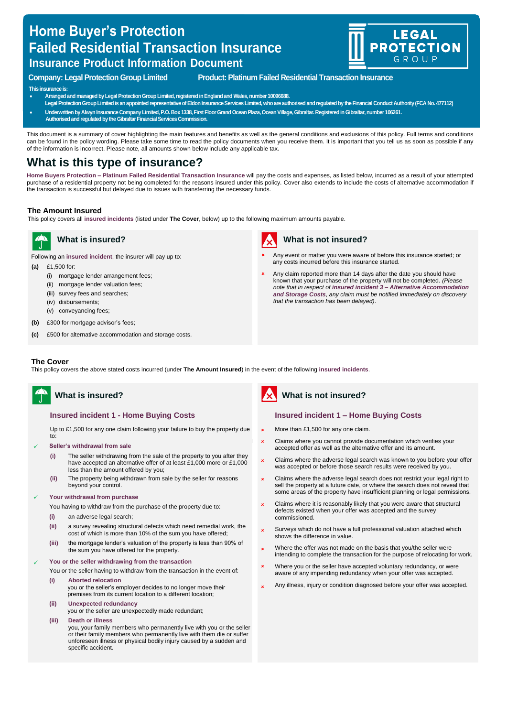# **Home Buyer's Protection Failed Residential Transaction Insurance Insurance Product Information Document**



### **Company: Legal Protection Group Limited Product: Platinum Failed Residential Transaction Insurance**

#### **This insurance is:**

- **Arranged and managed by Legal Protection Group Limited, registered in England and Wales,number 10096688.**
- **Legal Protection Group Limited is an appointed representative of Eldon Insurance Services Limited, who are authorised and regulated by the Financial Conduct Authority (FCA No. 477112)**
- **Underwritten by Alwyn Insurance Company Limited, P.O. Box 1338, First Floor Grand Ocean Plaza, Ocean Village, Gibraltar. Registered in Gibraltar, number 106261.**
- **Authorised and regulated by the Gibraltar Financial Services Commission.**

This document is a summary of cover highlighting the main features and benefits as well as the general conditions and exclusions of this policy. Full terms and conditions can be found in the policy wording. Please take some time to read the policy documents when you receive them. It is important that you tell us as soon as possible if any of the information is incorrect. Please note, all amounts shown below include any applicable tax.

# **What is this type of insurance?**

**Home Buyers Protection – Platinum Failed Residential Transaction Insurance** will pay the costs and expenses, as listed below, incurred as a result of your attempted purchase of a residential property not being completed for the reasons insured under this policy. Cover also extends to include the costs of alternative accommodation if the transaction is successful but delayed due to issues with transferring the necessary funds.

#### **The Amount Insured**

This policy covers all **insured incidents** (listed under **The Cover**, below) up to the following maximum amounts payable.



**A** What is insured?

Following an **insured incident**, the insurer will pay up to:

- **(a)** £1,500 for:
	- (i) mortgage lender arrangement fees;
	- (ii) mortgage lender valuation fees;
	- (iii) survey fees and searches;
	- (iv) disbursements;
	- (v) conveyancing fees;
- **(b)** £300 for mortgage advisor's fees;
- **(c)** £500 for alternative accommodation and storage costs.



# **What is not insured?**

- Any event or matter you were aware of before this insurance started; or any costs incurred before this insurance started.
- Any claim reported more than 14 days after the date you should have known that your purchase of the property will not be completed. *(Please note that in respect of insured incident 3 – Alternative Accommodation and Storage Costs, any claim must be notified immediately on discovery that the transaction has been delayed)*.

#### **The Cover**

This policy covers the above stated costs incurred (under **The Amount Insured**) in the event of the following **insured incidents**.

# **What is insured?**

#### **Insured incident 1 - Home Buying Costs**

Up to £1,500 for any one claim following your failure to buy the property due to:

- ✓ **Seller's withdrawal from sale**
	- **(i)** The seller withdrawing from the sale of the property to you after they have accepted an alternative offer of at least £1,000 more or £1,000 less than the amount offered by you;
	- **(ii)** The property being withdrawn from sale by the seller for reasons beyond your control.

#### ✓ **Your withdrawal from purchase**

- You having to withdraw from the purchase of the property due to:
- **(i)** an adverse legal search;
- **(ii)** a survey revealing structural defects which need remedial work, the cost of which is more than 10% of the sum you have offered;
- **(iii)** the mortgage lender's valuation of the property is less than 90% of the sum you have offered for the property.

#### ✓ **You or the seller withdrawing from the transaction**

You or the seller having to withdraw from the transaction in the event of:

- **(i) Aborted relocation** 
	- you or the seller's employer decides to no longer move their premises from its current location to a different location;
- **(ii) Unexpected redundancy** 
	- you or the seller are unexpectedly made redundant;

**(iii) Death or illness**  you, your family members who permanently live with you or the seller or their family members who permanently live with them die or suffer unforeseen illness or physical bodily injury caused by a sudden and specific accident.



# **What is not insured?**

#### **Insured incident 1 – Home Buying Costs**

- × More than £1,500 for any one claim.
- × Claims where you cannot provide documentation which verifies your accepted offer as well as the alternative offer and its amount.
- × Claims where the adverse legal search was known to you before your offer was accepted or before those search results were received by you.
- × Claims where the adverse legal search does not restrict your legal right to sell the property at a future date, or where the search does not reveal that some areas of the property have insufficient planning or legal permissions.
- × Claims where it is reasonably likely that you were aware that structural defects existed when your offer was accepted and the survey commissioned.
- × Surveys which do not have a full professional valuation attached which shows the difference in value.
- × Where the offer was not made on the basis that you/the seller were intending to complete the transaction for the purpose of relocating for work.
- × Where you or the seller have accepted voluntary redundancy, or were aware of any impending redundancy when your offer was accepted
- × Any illness, injury or condition diagnosed before your offer was accepted.